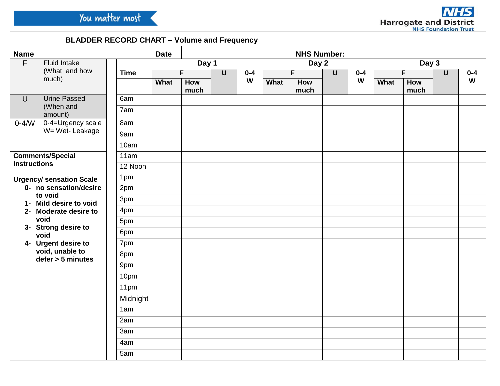

ŗ.

|                                                                                                                                                                                                                                                                                   |                                               |                   | <b>BLADDER RECORD CHART - Volume and Frequency</b> |             |                      |  |              |      |                    |              |         |             |             |                |         |
|-----------------------------------------------------------------------------------------------------------------------------------------------------------------------------------------------------------------------------------------------------------------------------------|-----------------------------------------------|-------------------|----------------------------------------------------|-------------|----------------------|--|--------------|------|--------------------|--------------|---------|-------------|-------------|----------------|---------|
| <b>Name</b>                                                                                                                                                                                                                                                                       |                                               |                   |                                                    | <b>Date</b> |                      |  |              |      | <b>NHS Number:</b> |              |         |             |             |                |         |
| $\overline{F}$                                                                                                                                                                                                                                                                    | <b>Fluid Intake</b><br>(What and how<br>much) |                   |                                                    | Day 1       |                      |  | Day 2        |      |                    | Day 3        |         |             |             |                |         |
|                                                                                                                                                                                                                                                                                   |                                               |                   | <b>Time</b>                                        |             | F.<br>$\overline{U}$ |  | $0 - 4$<br>W | F.   |                    | $\mathsf{U}$ | $0 - 4$ | F.          |             | $\overline{U}$ | $0 - 4$ |
|                                                                                                                                                                                                                                                                                   |                                               |                   |                                                    | What        | How<br>much          |  |              | What | How<br>much        |              | W       | <b>What</b> | How<br>much |                | W       |
| $\cup$                                                                                                                                                                                                                                                                            | <b>Urine Passed</b>                           |                   | 6am                                                |             |                      |  |              |      |                    |              |         |             |             |                |         |
| (When and<br>amount)                                                                                                                                                                                                                                                              |                                               |                   | 7am                                                |             |                      |  |              |      |                    |              |         |             |             |                |         |
| $0-4/N$                                                                                                                                                                                                                                                                           |                                               | 0-4=Urgency scale | 8am                                                |             |                      |  |              |      |                    |              |         |             |             |                |         |
|                                                                                                                                                                                                                                                                                   | W= Wet-Leakage                                |                   | 9am                                                |             |                      |  |              |      |                    |              |         |             |             |                |         |
|                                                                                                                                                                                                                                                                                   |                                               |                   | 10am                                               |             |                      |  |              |      |                    |              |         |             |             |                |         |
| <b>Comments/Special</b><br><b>Instructions</b><br><b>Urgency/ sensation Scale</b><br>0- no sensation/desire<br>to void<br>1- Mild desire to void<br>2- Moderate desire to<br>void<br>3- Strong desire to<br>void<br>4- Urgent desire to<br>void, unable to<br>$defer > 5$ minutes |                                               |                   | 11am                                               |             |                      |  |              |      |                    |              |         |             |             |                |         |
|                                                                                                                                                                                                                                                                                   |                                               |                   | 12 Noon                                            |             |                      |  |              |      |                    |              |         |             |             |                |         |
|                                                                                                                                                                                                                                                                                   |                                               |                   | 1pm                                                |             |                      |  |              |      |                    |              |         |             |             |                |         |
|                                                                                                                                                                                                                                                                                   |                                               |                   | 2pm                                                |             |                      |  |              |      |                    |              |         |             |             |                |         |
|                                                                                                                                                                                                                                                                                   |                                               |                   | 3pm                                                |             |                      |  |              |      |                    |              |         |             |             |                |         |
|                                                                                                                                                                                                                                                                                   |                                               |                   | 4pm                                                |             |                      |  |              |      |                    |              |         |             |             |                |         |
|                                                                                                                                                                                                                                                                                   |                                               |                   | 5pm                                                |             |                      |  |              |      |                    |              |         |             |             |                |         |
|                                                                                                                                                                                                                                                                                   |                                               |                   | 6pm                                                |             |                      |  |              |      |                    |              |         |             |             |                |         |
|                                                                                                                                                                                                                                                                                   |                                               |                   | 7pm                                                |             |                      |  |              |      |                    |              |         |             |             |                |         |
|                                                                                                                                                                                                                                                                                   |                                               |                   | 8pm                                                |             |                      |  |              |      |                    |              |         |             |             |                |         |
|                                                                                                                                                                                                                                                                                   |                                               |                   | 9pm                                                |             |                      |  |              |      |                    |              |         |             |             |                |         |
|                                                                                                                                                                                                                                                                                   |                                               |                   | 10pm                                               |             |                      |  |              |      |                    |              |         |             |             |                |         |
|                                                                                                                                                                                                                                                                                   |                                               |                   | 11pm                                               |             |                      |  |              |      |                    |              |         |             |             |                |         |
|                                                                                                                                                                                                                                                                                   |                                               |                   | Midnight                                           |             |                      |  |              |      |                    |              |         |             |             |                |         |
|                                                                                                                                                                                                                                                                                   |                                               |                   | 1am                                                |             |                      |  |              |      |                    |              |         |             |             |                |         |
|                                                                                                                                                                                                                                                                                   |                                               |                   | 2am                                                |             |                      |  |              |      |                    |              |         |             |             |                |         |
|                                                                                                                                                                                                                                                                                   |                                               |                   | 3am                                                |             |                      |  |              |      |                    |              |         |             |             |                |         |
|                                                                                                                                                                                                                                                                                   |                                               |                   | 4am                                                |             |                      |  |              |      |                    |              |         |             |             |                |         |
|                                                                                                                                                                                                                                                                                   |                                               |                   | 5am                                                |             |                      |  |              |      |                    |              |         |             |             |                |         |